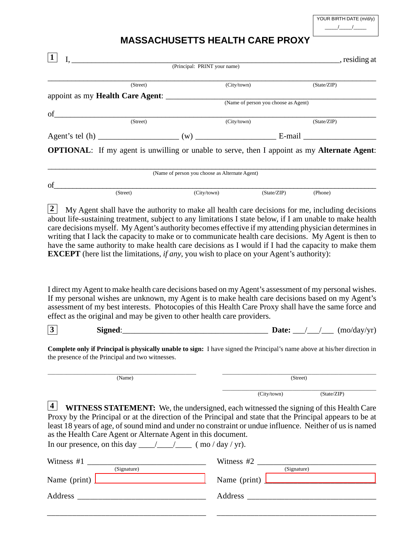| YOUR BIRTH DATE (m/d/y) |  |  |  |  |
|-------------------------|--|--|--|--|
|                         |  |  |  |  |

## **MASSACHUSETTS HEALTH CARE PROXY**

|             |                                                                                                                                | (Principal: PRINT your name)                   |             | ntthe residing at                                                                                                                                                                                                                                                                                                 |
|-------------|--------------------------------------------------------------------------------------------------------------------------------|------------------------------------------------|-------------|-------------------------------------------------------------------------------------------------------------------------------------------------------------------------------------------------------------------------------------------------------------------------------------------------------------------|
|             |                                                                                                                                |                                                |             |                                                                                                                                                                                                                                                                                                                   |
|             | (Street)                                                                                                                       |                                                | (City/town) | (State/ZIP)                                                                                                                                                                                                                                                                                                       |
|             | appoint as my Health Care Agent: (Name of person you choose as Agent)                                                          |                                                |             |                                                                                                                                                                                                                                                                                                                   |
| of $\qquad$ |                                                                                                                                |                                                |             |                                                                                                                                                                                                                                                                                                                   |
|             | $\overline{\text{(Street)}}$                                                                                                   |                                                | (City/town) | (State/ZIP)                                                                                                                                                                                                                                                                                                       |
|             |                                                                                                                                |                                                |             |                                                                                                                                                                                                                                                                                                                   |
|             |                                                                                                                                |                                                |             |                                                                                                                                                                                                                                                                                                                   |
|             |                                                                                                                                |                                                |             | <b>OPTIONAL:</b> If my agent is unwilling or unable to serve, then I appoint as my <b>Alternate Agent</b> :                                                                                                                                                                                                       |
|             |                                                                                                                                | (Name of person you choose as Alternate Agent) |             |                                                                                                                                                                                                                                                                                                                   |
|             |                                                                                                                                |                                                |             |                                                                                                                                                                                                                                                                                                                   |
| of          | (Street)                                                                                                                       | (City/town)                                    | (State/ZIP) | (Phone)                                                                                                                                                                                                                                                                                                           |
|             | <b>EXCEPT</b> (here list the limitations, <i>if any</i> , you wish to place on your Agent's authority):                        |                                                |             |                                                                                                                                                                                                                                                                                                                   |
|             |                                                                                                                                |                                                |             | I direct my Agent to make health care decisions based on my Agent's assessment of my personal wishes.<br>If my personal wishes are unknown, my Agent is to make health care decisions based on my Agent's<br>assessment of my best interests. Photocopies of this Health Care Proxy shall have the same force and |
|             | effect as the original and may be given to other health care providers.                                                        |                                                |             |                                                                                                                                                                                                                                                                                                                   |
|             | the presence of the Principal and two witnesses.                                                                               |                                                |             | Complete only if Principal is physically unable to sign: I have signed the Principal's name above at his/her direction in                                                                                                                                                                                         |
|             | (Name)                                                                                                                         |                                                |             | (Street)                                                                                                                                                                                                                                                                                                          |
| 3           |                                                                                                                                |                                                | (City/town) | (State/ZIP)                                                                                                                                                                                                                                                                                                       |
| 4           | as the Health Care Agent or Alternate Agent in this document.<br>In our presence, on this day $\frac{\Box}{\Box}$ (mo/day/yr). |                                                |             | WITNESS STATEMENT: We, the undersigned, each witnessed the signing of this Health Care<br>Proxy by the Principal or at the direction of the Principal and state that the Principal appears to be at<br>least 18 years of age, of sound mind and under no constraint or undue influence. Neither of us is named    |

Name (print) [\\_\\_\\_\\_\\_\\_\\_\\_\\_\\_\\_\\_\\_\\_\\_\\_\\_\\_\\_\\_\\_\\_\\_\\_\\_\\_\\_](www.esign.com) Name (print) [\\_\\_\\_\\_\\_\\_\\_\\_\\_\\_\\_\\_\\_\\_\\_\\_\\_\\_\\_\\_\\_\\_\\_\\_\\_\\_\\_](www.esign.com) Address \_\_\_\_\_\_\_\_\_\_\_\_\_\_\_\_\_\_\_\_\_\_\_\_\_\_\_\_\_\_\_ Address \_\_\_\_\_\_\_\_\_\_\_\_\_\_\_\_\_\_\_\_\_\_\_\_\_\_\_\_\_\_\_

\_\_\_\_\_\_\_\_\_\_\_\_\_\_\_\_\_\_\_\_\_\_\_\_\_\_\_\_\_\_\_\_\_\_\_\_\_\_

\_\_\_\_\_\_\_\_\_\_\_\_\_\_\_\_\_\_\_\_\_\_\_\_\_\_\_\_\_\_\_\_\_\_\_\_\_\_